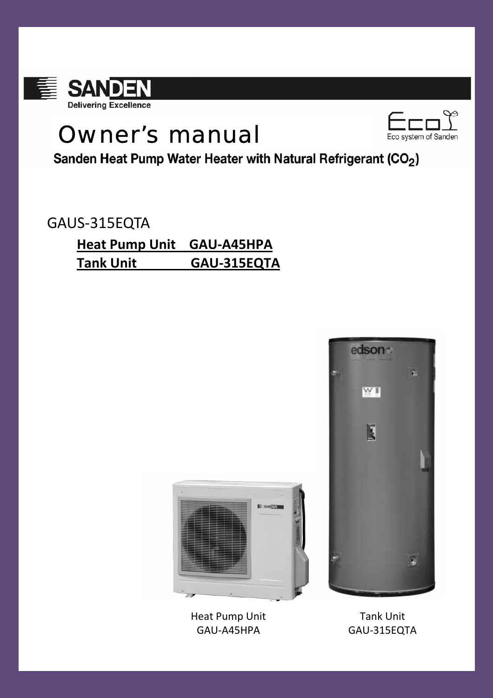

# Owner's manual



Sanden Heat Pump Water Heater with Natural Refrigerant (CO<sub>2</sub>)

# GAUS‐315EQTA

# **Heat Pump Unit GAU‐A45HPA Tank Unit GAU‐315EQTA**





**SANTEN** 

Tank Unit GAU‐315EQTA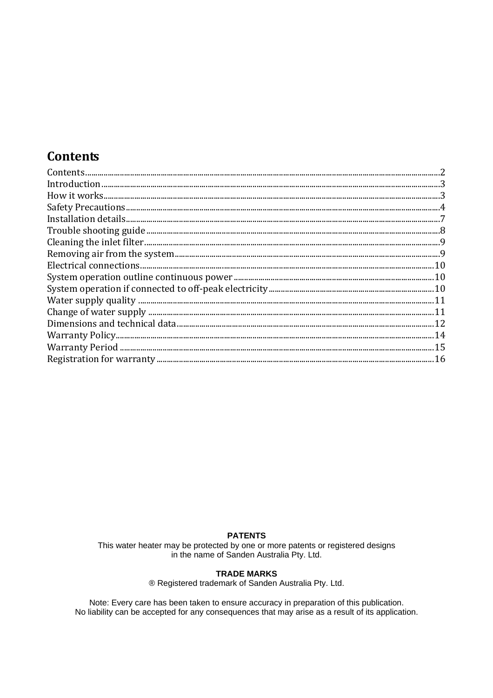## **Contents**

| $Contents \hspace*{20mm} \ldots \hspace*{20mm} \ldots \hspace*{20mm} \ldots \hspace*{20mm} \ldots \hspace*{20mm} \ldots \hspace*{20mm} \ldots \hspace*{20mm} \ldots \hspace*{20mm} \ldots \hspace*{20mm} \ldots \hspace*{20mm} \ldots \hspace*{20mm} \ldots \hspace*{20mm} \ldots \hspace*{20mm} \ldots \hspace*{20mm} \ldots \hspace*{20mm} \ldots \hspace*{20mm} \ldots \hspace*{20mm} \ldots \hspace*{20mm} \ldots \hspace$ |  |
|--------------------------------------------------------------------------------------------------------------------------------------------------------------------------------------------------------------------------------------------------------------------------------------------------------------------------------------------------------------------------------------------------------------------------------|--|
|                                                                                                                                                                                                                                                                                                                                                                                                                                |  |
|                                                                                                                                                                                                                                                                                                                                                                                                                                |  |
|                                                                                                                                                                                                                                                                                                                                                                                                                                |  |
|                                                                                                                                                                                                                                                                                                                                                                                                                                |  |
|                                                                                                                                                                                                                                                                                                                                                                                                                                |  |
|                                                                                                                                                                                                                                                                                                                                                                                                                                |  |
|                                                                                                                                                                                                                                                                                                                                                                                                                                |  |
|                                                                                                                                                                                                                                                                                                                                                                                                                                |  |
|                                                                                                                                                                                                                                                                                                                                                                                                                                |  |
|                                                                                                                                                                                                                                                                                                                                                                                                                                |  |
|                                                                                                                                                                                                                                                                                                                                                                                                                                |  |
|                                                                                                                                                                                                                                                                                                                                                                                                                                |  |
|                                                                                                                                                                                                                                                                                                                                                                                                                                |  |
|                                                                                                                                                                                                                                                                                                                                                                                                                                |  |
|                                                                                                                                                                                                                                                                                                                                                                                                                                |  |
|                                                                                                                                                                                                                                                                                                                                                                                                                                |  |

#### **PATENTS**

This water heater may be protected by one or more patents or registered designs in the name of Sanden Australia Pty. Ltd.

#### **TRADE MARKS**

® Registered trademark of Sanden Australia Pty. Ltd.

Note: Every care has been taken to ensure accuracy in preparation of this publication.<br>No liability can be accepted for any consequences that may arise as a result of its application.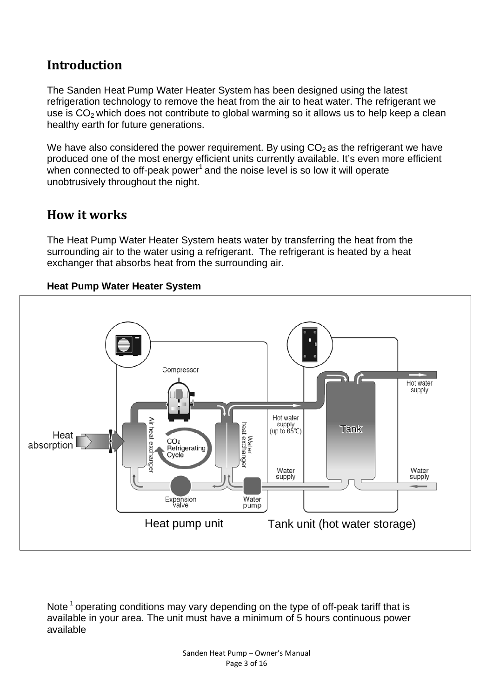### **Introduction**

The Sanden Heat Pump Water Heater System has been designed using the latest refrigeration technology to remove the heat from the air to heat water. The refrigerant we use is  $CO<sub>2</sub>$  which does not contribute to global warming so it allows us to help keep a clean healthy earth for future generations.

We have also considered the power requirement. By using  $CO<sub>2</sub>$  as the refrigerant we have produced one of the most energy efficient units currently available. It's even more efficient when connected to off-peak power<sup>1</sup> and the noise level is so low it will operate unobtrusively throughout the night.

### **How it works**

The Heat Pump Water Heater System heats water by transferring the heat from the surrounding air to the water using a refrigerant. The refrigerant is heated by a heat exchanger that absorbs heat from the surrounding air.

#### **Heat Pump Water Heater System**



Note<sup>1</sup> operating conditions may vary depending on the type of off-peak tariff that is available in your area. The unit must have a minimum of 5 hours continuous power available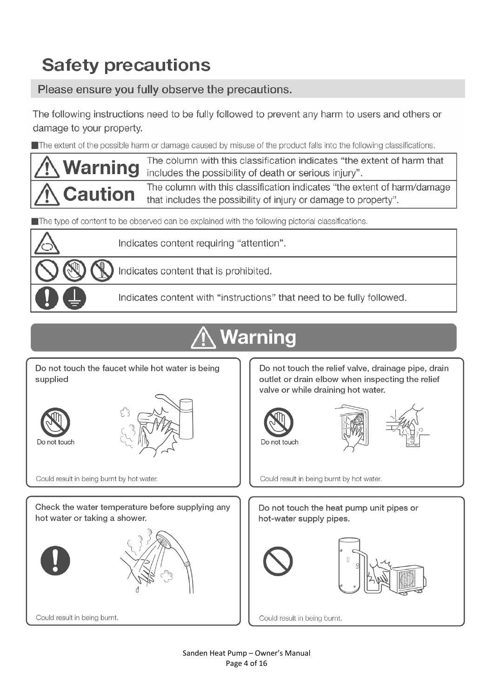# **Safety precautions**

Please ensure you fully observe the precautions.

The following instructions need to be fully followed to prevent any harm to users and others or damage to your property.

The extent of the possible harm or damage caused by misuse of the product falls into the following classifications.

The column with this classification indicates "the extent of harm that Warning includes the possibility of death or serious injury". The column with this classification indicates "the extent of harm/damage **Caution** that includes the possibility of injury or damage to property".

The type of content to be observed can be explained with the following pictorial classifications.



Indicates content requiring "attention".

Indicates content that is prohibited.

Indicates content with "instructions" that need to be fully followed.

# Warning

Do not touch the faucet while hot water is being supplied





Could result in being burnt by hot water.

Check the water temperature before supplying any hot water or taking a shower.



Do not touch the relief valve, drainage pipe, drain outlet or drain elbow when inspecting the relief valve or while draining hot water.





Could result in being burnt by hot water.

Do not touch the heat pump unit pipes or hot-water supply pipes.





Could result in being burnt.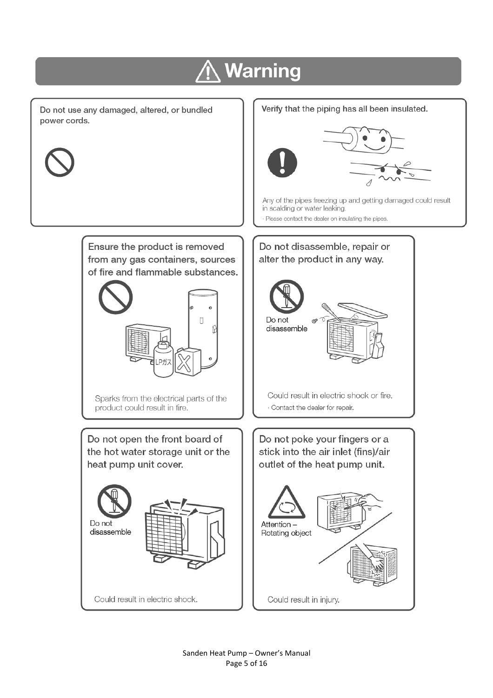# **Warning**

Do not use any damaged, altered, or bundled power cords.



Ensure the product is removed from any gas containers, sources of fire and flammable substances.



product could result in fire.

Do not open the front board of the hot water storage unit or the heat pump unit cover.





Could result in electric shock.

#### Verify that the piping has all been insulated.



Any of the pipes freezing up and getting damaged could result in scalding or water leaking.

Please contact the dealer on insulating the pipes.



Could result in injury.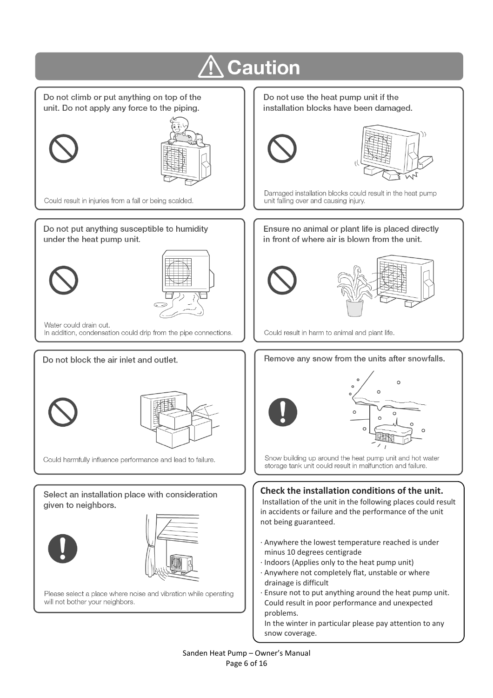

In the winter in particular please pay attention to any snow coverage.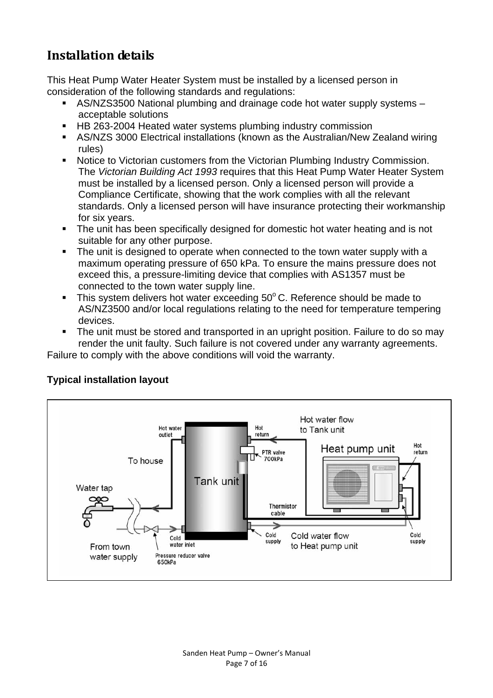## **Installation details**

This Heat Pump Water Heater System must be installed by a licensed person in consideration of the following standards and regulations:

- AS/NZS3500 National plumbing and drainage code hot water supply systems acceptable solutions
- HB 263-2004 Heated water systems plumbing industry commission
- AS/NZS 3000 Electrical installations (known as the Australian/New Zealand wiring rules)
- **Notice to Victorian customers from the Victorian Plumbing Industry Commission.** The *Victorian Building Act 1993* requires that this Heat Pump Water Heater System must be installed by a licensed person. Only a licensed person will provide a Compliance Certificate, showing that the work complies with all the relevant standards. Only a licensed person will have insurance protecting their workmanship for six years.
- **The unit has been specifically designed for domestic hot water heating and is not** suitable for any other purpose.
- The unit is designed to operate when connected to the town water supply with a maximum operating pressure of 650 kPa. To ensure the mains pressure does not exceed this, a pressure-limiting device that complies with AS1357 must be connected to the town water supply line.
- $\blacksquare$  This system delivers hot water exceeding 50 $\degree$ C. Reference should be made to AS/NZ3500 and/or local regulations relating to the need for temperature tempering devices.
- The unit must be stored and transported in an upright position. Failure to do so may render the unit faulty. Such failure is not covered under any warranty agreements.

Failure to comply with the above conditions will void the warranty.



#### **Typical installation layout**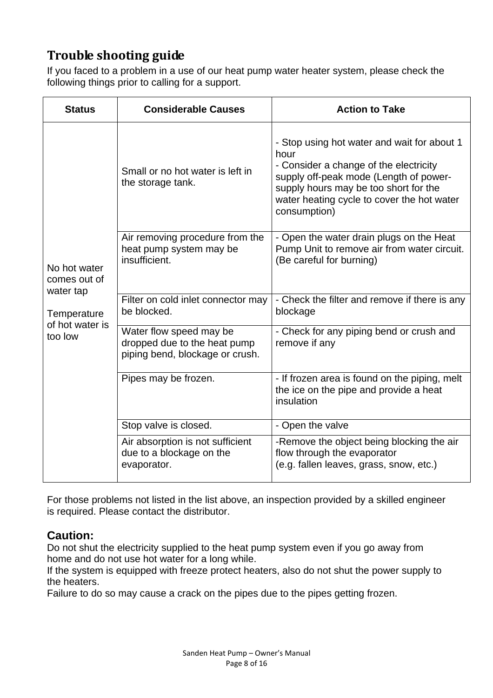## **Trouble shooting guide**

If you faced to a problem in a use of our heat pump water heater system, please check the following things prior to calling for a support.

| <b>Status</b>                                                                          | <b>Considerable Causes</b>                                                                 | <b>Action to Take</b>                                                                                                                                                                                                                          |
|----------------------------------------------------------------------------------------|--------------------------------------------------------------------------------------------|------------------------------------------------------------------------------------------------------------------------------------------------------------------------------------------------------------------------------------------------|
| No hot water<br>comes out of<br>water tap<br>Temperature<br>of hot water is<br>too low | Small or no hot water is left in<br>the storage tank.                                      | - Stop using hot water and wait for about 1<br>hour<br>- Consider a change of the electricity<br>supply off-peak mode (Length of power-<br>supply hours may be too short for the<br>water heating cycle to cover the hot water<br>consumption) |
|                                                                                        | Air removing procedure from the<br>heat pump system may be<br>insufficient.                | - Open the water drain plugs on the Heat<br>Pump Unit to remove air from water circuit.<br>(Be careful for burning)                                                                                                                            |
|                                                                                        | Filter on cold inlet connector may<br>be blocked.                                          | - Check the filter and remove if there is any<br>blockage                                                                                                                                                                                      |
|                                                                                        | Water flow speed may be<br>dropped due to the heat pump<br>piping bend, blockage or crush. | - Check for any piping bend or crush and<br>remove if any                                                                                                                                                                                      |
|                                                                                        | Pipes may be frozen.                                                                       | - If frozen area is found on the piping, melt<br>the ice on the pipe and provide a heat<br>insulation                                                                                                                                          |
|                                                                                        | Stop valve is closed.                                                                      | - Open the valve                                                                                                                                                                                                                               |
|                                                                                        | Air absorption is not sufficient<br>due to a blockage on the<br>evaporator.                | -Remove the object being blocking the air<br>flow through the evaporator<br>(e.g. fallen leaves, grass, snow, etc.)                                                                                                                            |

For those problems not listed in the list above, an inspection provided by a skilled engineer is required. Please contact the distributor.

#### **Caution:**

Do not shut the electricity supplied to the heat pump system even if you go away from home and do not use hot water for a long while.

If the system is equipped with freeze protect heaters, also do not shut the power supply to the heaters.

Failure to do so may cause a crack on the pipes due to the pipes getting frozen.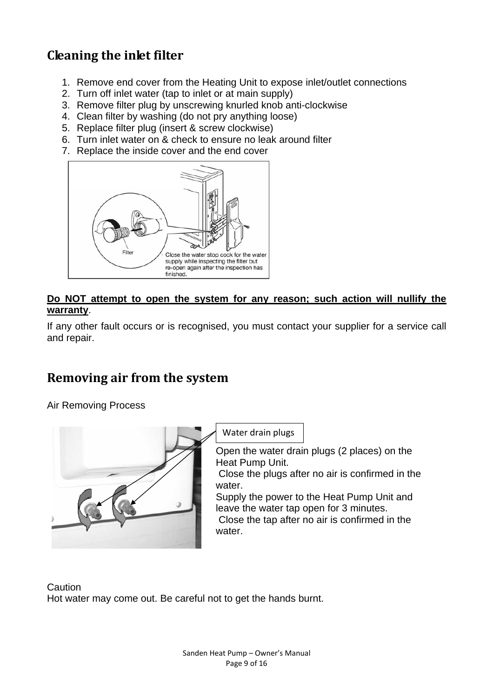## **Cleaning the inlet filter**

- 1. Remove end cover from the Heating Unit to expose inlet/outlet connections
- 2. Turn off inlet water (tap to inlet or at main supply)
- 3. Remove filter plug by unscrewing knurled knob anti-clockwise
- 4. Clean filter by washing (do not pry anything loose)
- 5. Replace filter plug (insert & screw clockwise)
- 6. Turn inlet water on & check to ensure no leak around filter
- 7. Replace the inside cover and the end cover



#### **Do NOT attempt to open the system for any reason; such action will nullify the warranty**.

If any other fault occurs or is recognised, you must contact your supplier for a service call and repair.

## **Removing air from the system**

Air Removing Process



**Caution** Hot water may come out. Be careful not to get the hands burnt.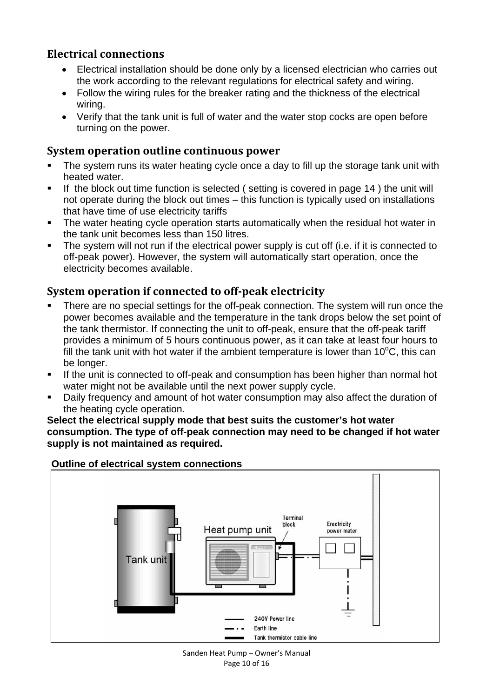### **Electrical connections**

- Electrical installation should be done only by a licensed electrician who carries out the work according to the relevant regulations for electrical safety and wiring.
- Follow the wiring rules for the breaker rating and the thickness of the electrical wiring.
- Verify that the tank unit is full of water and the water stop cocks are open before turning on the power.

#### **System operation outline continuous power**

- The system runs its water heating cycle once a day to fill up the storage tank unit with heated water.
- If the block out time function is selected (setting is covered in page 14) the unit will not operate during the block out times – this function is typically used on installations that have time of use electricity tariffs
- The water heating cycle operation starts automatically when the residual hot water in the tank unit becomes less than 150 litres.
- The system will not run if the electrical power supply is cut off (i.e. if it is connected to off-peak power). However, the system will automatically start operation, once the electricity becomes available.

#### **System operation if connected to offpeak electricity**

- There are no special settings for the off-peak connection. The system will run once the power becomes available and the temperature in the tank drops below the set point of the tank thermistor. If connecting the unit to off-peak, ensure that the off-peak tariff provides a minimum of 5 hours continuous power, as it can take at least four hours to fill the tank unit with hot water if the ambient temperature is lower than 10 $\rm ^{o}C$ , this can be longer.
- If the unit is connected to off-peak and consumption has been higher than normal hot water might not be available until the next power supply cycle.
- Daily frequency and amount of hot water consumption may also affect the duration of the heating cycle operation.

**Select the electrical supply mode that best suits the customer's hot water consumption. The type of off-peak connection may need to be changed if hot water supply is not maintained as required.** 



#### **Outline of electrical system connections**

Sanden Heat Pump – Owner's Manual Page 10 of 16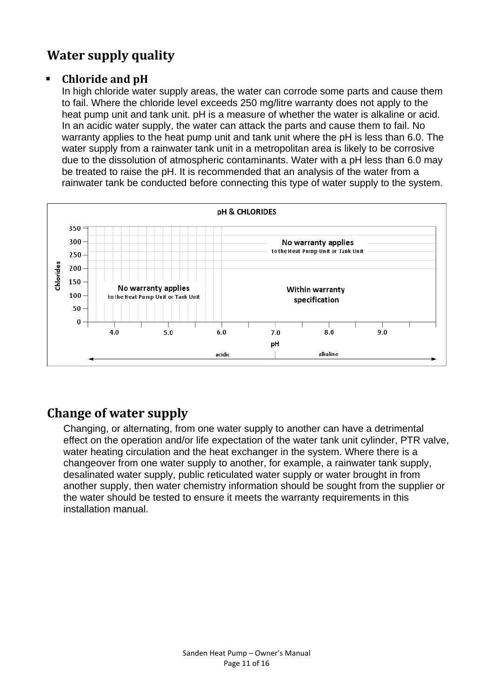## **Water supply quality**

#### **Chloride and pH**

In high chloride water supply areas, the water can corrode some parts and cause them to fail. Where the chloride level exceeds 250 mg/litre warranty does not apply to the heat pump unit and tank unit. pH is a measure of whether the water is alkaline or acid. In an acidic water supply, the water can attack the parts and cause them to fail. No warranty applies to the heat pump unit and tank unit where the pH is less than 6.0. The water supply from a rainwater tank unit in a metropolitan area is likely to be corrosive due to the dissolution of atmospheric contaminants. Water with a pH less than 6.0 may be treated to raise the pH. It is recommended that an analysis of the water from a rainwater tank be conducted before connecting this type of water supply to the system.



## **Change of water supply**

Changing, or alternating, from one water supply to another can have a detrimental effect on the operation and/or life expectation of the water tank unit cylinder, PTR valve, water heating circulation and the heat exchanger in the system. Where there is a changeover from one water supply to another, for example, a rainwater tank supply, desalinated water supply, public reticulated water supply or water brought in from another supply, then water chemistry information should be sought from the supplier or the water should be tested to ensure it meets the warranty requirements in this installation manual.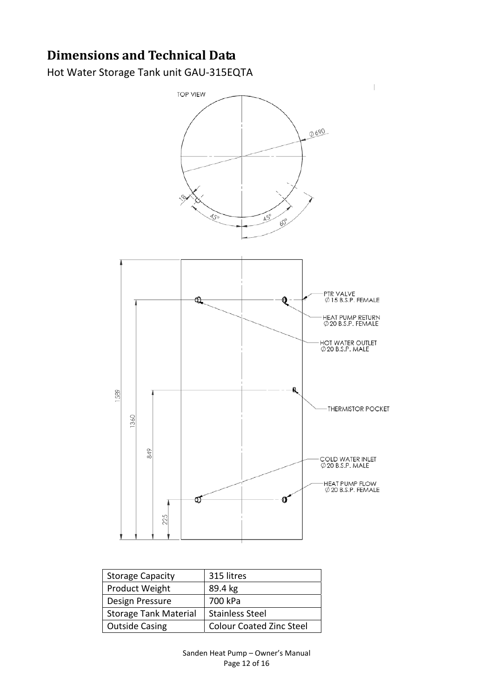# **Dimensions and Technical Data**

Hot Water Storage Tank unit GAU‐315EQTA



| <b>Storage Capacity</b>      | 315 litres                      |  |
|------------------------------|---------------------------------|--|
| Product Weight               | 89.4 kg                         |  |
| Design Pressure              | 700 kPa                         |  |
| <b>Storage Tank Material</b> | <b>Stainless Steel</b>          |  |
| <b>Outside Casing</b>        | <b>Colour Coated Zinc Steel</b> |  |

Sanden Heat Pump – Owner's Manual Page 12 of 16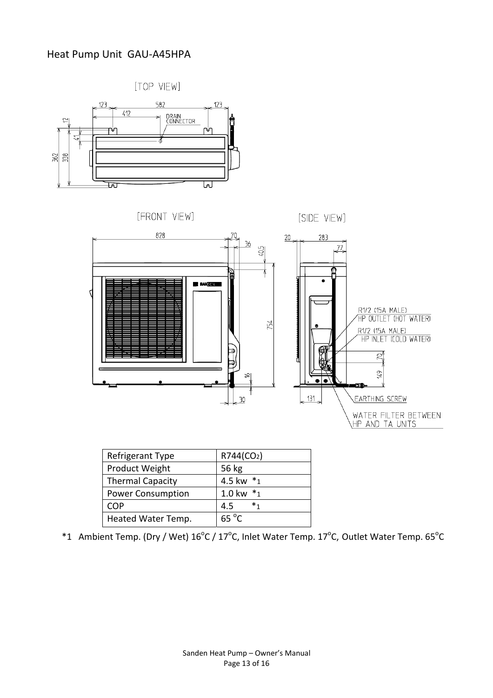#### Heat Pump Unit GAU‐A45HPA





| Refrigerant Type         | R744(CO <sub>2</sub> ) |
|--------------------------|------------------------|
| Product Weight           | 56 kg                  |
| <b>Thermal Capacity</b>  | 4.5 kw *1              |
| <b>Power Consumption</b> | $1.0 \text{ kw}$ *1    |
| COP                      | $\ast$<br>4.5          |
| Heated Water Temp.       | $65^{\circ}$ C         |
|                          |                        |

\*1 Ambient Temp. (Dry / Wet)  $16^{\circ}$ C / 17 $^{\circ}$ C, Inlet Water Temp. 17 $^{\circ}$ C, Outlet Water Temp. 65 $^{\circ}$ C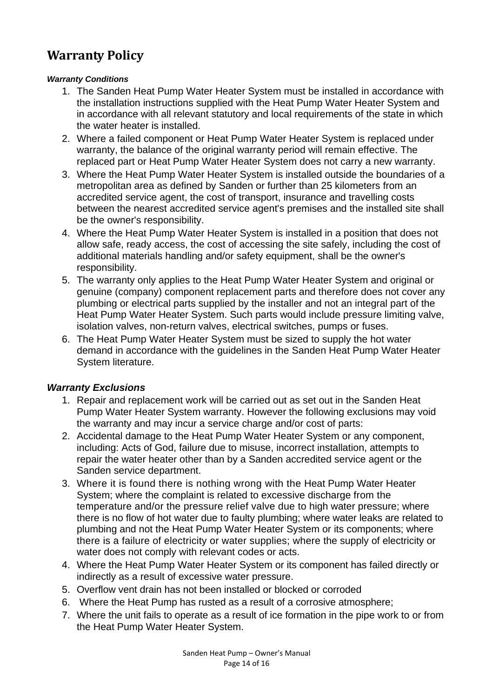## **Warranty Policy**

#### *Warranty Conditions*

- 1. The Sanden Heat Pump Water Heater System must be installed in accordance with the installation instructions supplied with the Heat Pump Water Heater System and in accordance with all relevant statutory and local requirements of the state in which the water heater is installed.
- 2. Where a failed component or Heat Pump Water Heater System is replaced under warranty, the balance of the original warranty period will remain effective. The replaced part or Heat Pump Water Heater System does not carry a new warranty.
- 3. Where the Heat Pump Water Heater System is installed outside the boundaries of a metropolitan area as defined by Sanden or further than 25 kilometers from an accredited service agent, the cost of transport, insurance and travelling costs between the nearest accredited service agent's premises and the installed site shall be the owner's responsibility.
- 4. Where the Heat Pump Water Heater System is installed in a position that does not allow safe, ready access, the cost of accessing the site safely, including the cost of additional materials handling and/or safety equipment, shall be the owner's responsibility.
- 5. The warranty only applies to the Heat Pump Water Heater System and original or genuine (company) component replacement parts and therefore does not cover any plumbing or electrical parts supplied by the installer and not an integral part of the Heat Pump Water Heater System. Such parts would include pressure limiting valve, isolation valves, non-return valves, electrical switches, pumps or fuses.
- 6. The Heat Pump Water Heater System must be sized to supply the hot water demand in accordance with the guidelines in the Sanden Heat Pump Water Heater System literature.

#### *Warranty Exclusions*

- 1. Repair and replacement work will be carried out as set out in the Sanden Heat Pump Water Heater System warranty. However the following exclusions may void the warranty and may incur a service charge and/or cost of parts:
- 2. Accidental damage to the Heat Pump Water Heater System or any component, including: Acts of God, failure due to misuse, incorrect installation, attempts to repair the water heater other than by a Sanden accredited service agent or the Sanden service department.
- 3. Where it is found there is nothing wrong with the Heat Pump Water Heater System; where the complaint is related to excessive discharge from the temperature and/or the pressure relief valve due to high water pressure; where there is no flow of hot water due to faulty plumbing; where water leaks are related to plumbing and not the Heat Pump Water Heater System or its components; where there is a failure of electricity or water supplies; where the supply of electricity or water does not comply with relevant codes or acts.
- 4. Where the Heat Pump Water Heater System or its component has failed directly or indirectly as a result of excessive water pressure.
- 5. Overflow vent drain has not been installed or blocked or corroded
- 6. Where the Heat Pump has rusted as a result of a corrosive atmosphere;
- 7. Where the unit fails to operate as a result of ice formation in the pipe work to or from the Heat Pump Water Heater System.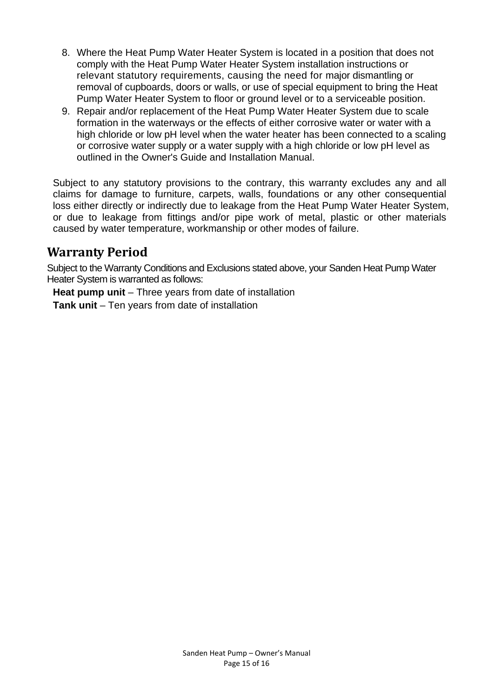- 8. Where the Heat Pump Water Heater System is located in a position that does not comply with the Heat Pump Water Heater System installation instructions or relevant statutory requirements, causing the need for major dismantling or removal of cupboards, doors or walls, or use of special equipment to bring the Heat Pump Water Heater System to floor or ground level or to a serviceable position.
- 9. Repair and/or replacement of the Heat Pump Water Heater System due to scale formation in the waterways or the effects of either corrosive water or water with a high chloride or low pH level when the water heater has been connected to a scaling or corrosive water supply or a water supply with a high chloride or low pH level as outlined in the Owner's Guide and Installation Manual.

 Subject to any statutory provisions to the contrary, this warranty excludes any and all claims for damage to furniture, carpets, walls, foundations or any other consequential loss either directly or indirectly due to leakage from the Heat Pump Water Heater System, or due to leakage from fittings and/or pipe work of metal, plastic or other materials caused by water temperature, workmanship or other modes of failure.

### **Warranty Period**

Subject to the Warranty Conditions and Exclusions stated above, your Sanden Heat Pump Water Heater System is warranted as follows:

**Heat pump unit** – Three years from date of installation

**Tank unit** – Ten years from date of installation